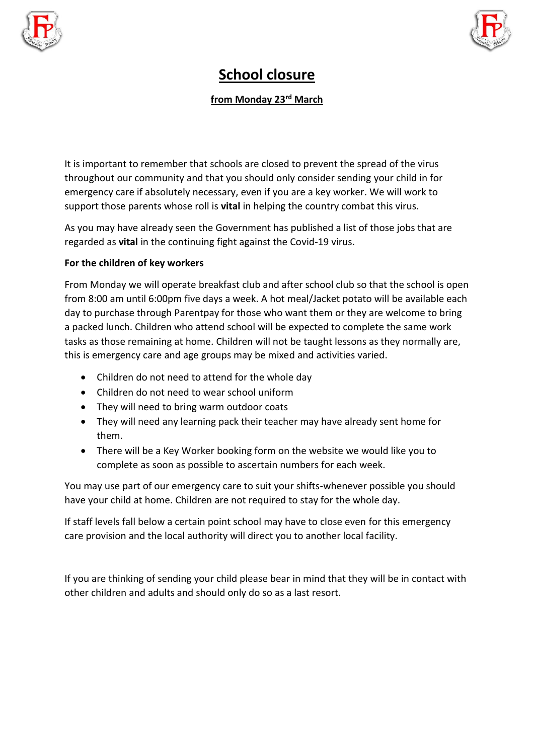



## **School closure**

## **from Monday 23rd March**

It is important to remember that schools are closed to prevent the spread of the virus throughout our community and that you should only consider sending your child in for emergency care if absolutely necessary, even if you are a key worker. We will work to support those parents whose roll is **vital** in helping the country combat this virus.

As you may have already seen the Government has published a list of those jobs that are regarded as **vital** in the continuing fight against the Covid-19 virus.

## **For the children of key workers**

From Monday we will operate breakfast club and after school club so that the school is open from 8:00 am until 6:00pm five days a week. A hot meal/Jacket potato will be available each day to purchase through Parentpay for those who want them or they are welcome to bring a packed lunch. Children who attend school will be expected to complete the same work tasks as those remaining at home. Children will not be taught lessons as they normally are, this is emergency care and age groups may be mixed and activities varied.

- Children do not need to attend for the whole day
- Children do not need to wear school uniform
- They will need to bring warm outdoor coats
- They will need any learning pack their teacher may have already sent home for them.
- There will be a Key Worker booking form on the website we would like you to complete as soon as possible to ascertain numbers for each week.

You may use part of our emergency care to suit your shifts-whenever possible you should have your child at home. Children are not required to stay for the whole day.

If staff levels fall below a certain point school may have to close even for this emergency care provision and the local authority will direct you to another local facility.

If you are thinking of sending your child please bear in mind that they will be in contact with other children and adults and should only do so as a last resort.